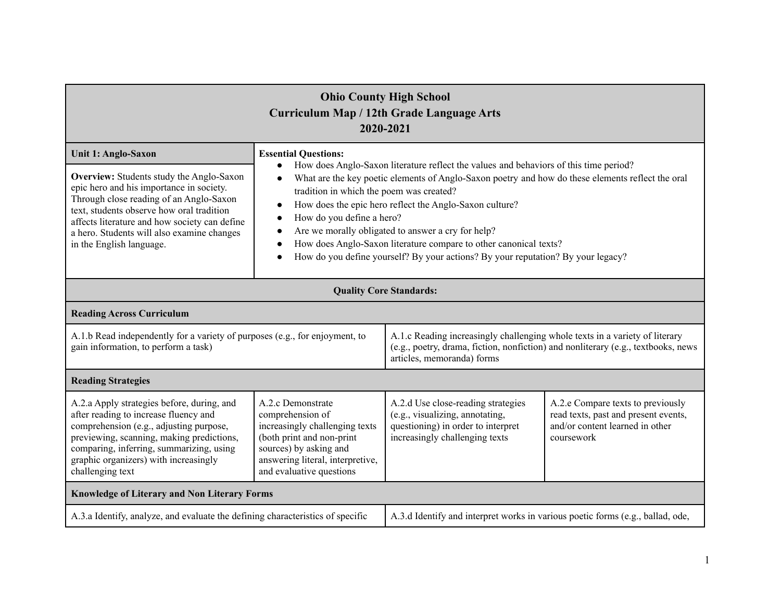| <b>Ohio County High School</b><br><b>Curriculum Map / 12th Grade Language Arts</b><br>2020-2021                                                                                                                                                                                                                                       |                                                                                                                                                                                                                                                                                                                                                                                                                                                                                                                                                                                                                                  |                                                                                                                                                                                                |                                                                                                                            |  |  |  |
|---------------------------------------------------------------------------------------------------------------------------------------------------------------------------------------------------------------------------------------------------------------------------------------------------------------------------------------|----------------------------------------------------------------------------------------------------------------------------------------------------------------------------------------------------------------------------------------------------------------------------------------------------------------------------------------------------------------------------------------------------------------------------------------------------------------------------------------------------------------------------------------------------------------------------------------------------------------------------------|------------------------------------------------------------------------------------------------------------------------------------------------------------------------------------------------|----------------------------------------------------------------------------------------------------------------------------|--|--|--|
| Unit 1: Anglo-Saxon<br><b>Overview:</b> Students study the Anglo-Saxon<br>epic hero and his importance in society.<br>Through close reading of an Anglo-Saxon<br>text, students observe how oral tradition<br>affects literature and how society can define<br>a hero. Students will also examine changes<br>in the English language. | <b>Essential Questions:</b><br>How does Anglo-Saxon literature reflect the values and behaviors of this time period?<br>$\bullet$<br>What are the key poetic elements of Anglo-Saxon poetry and how do these elements reflect the oral<br>$\bullet$<br>tradition in which the poem was created?<br>How does the epic hero reflect the Anglo-Saxon culture?<br>How do you define a hero?<br>$\bullet$<br>Are we morally obligated to answer a cry for help?<br>$\bullet$<br>How does Anglo-Saxon literature compare to other canonical texts?<br>How do you define yourself? By your actions? By your reputation? By your legacy? |                                                                                                                                                                                                |                                                                                                                            |  |  |  |
|                                                                                                                                                                                                                                                                                                                                       |                                                                                                                                                                                                                                                                                                                                                                                                                                                                                                                                                                                                                                  | <b>Quality Core Standards:</b>                                                                                                                                                                 |                                                                                                                            |  |  |  |
| <b>Reading Across Curriculum</b>                                                                                                                                                                                                                                                                                                      |                                                                                                                                                                                                                                                                                                                                                                                                                                                                                                                                                                                                                                  |                                                                                                                                                                                                |                                                                                                                            |  |  |  |
| A.1.b Read independently for a variety of purposes (e.g., for enjoyment, to<br>gain information, to perform a task)                                                                                                                                                                                                                   |                                                                                                                                                                                                                                                                                                                                                                                                                                                                                                                                                                                                                                  | A.1.c Reading increasingly challenging whole texts in a variety of literary<br>(e.g., poetry, drama, fiction, nonfiction) and nonliterary (e.g., textbooks, news<br>articles, memoranda) forms |                                                                                                                            |  |  |  |
| <b>Reading Strategies</b>                                                                                                                                                                                                                                                                                                             |                                                                                                                                                                                                                                                                                                                                                                                                                                                                                                                                                                                                                                  |                                                                                                                                                                                                |                                                                                                                            |  |  |  |
| A.2.a Apply strategies before, during, and<br>after reading to increase fluency and<br>comprehension (e.g., adjusting purpose,<br>previewing, scanning, making predictions,<br>comparing, inferring, summarizing, using<br>graphic organizers) with increasingly<br>challenging text                                                  | A.2.c Demonstrate<br>comprehension of<br>increasingly challenging texts<br>(both print and non-print<br>sources) by asking and<br>answering literal, interpretive,<br>and evaluative questions                                                                                                                                                                                                                                                                                                                                                                                                                                   | A.2.d Use close-reading strategies<br>(e.g., visualizing, annotating,<br>questioning) in order to interpret<br>increasingly challenging texts                                                  | A.2.e Compare texts to previously<br>read texts, past and present events,<br>and/or content learned in other<br>coursework |  |  |  |
| Knowledge of Literary and Non Literary Forms                                                                                                                                                                                                                                                                                          |                                                                                                                                                                                                                                                                                                                                                                                                                                                                                                                                                                                                                                  |                                                                                                                                                                                                |                                                                                                                            |  |  |  |
| A.3.a Identify, analyze, and evaluate the defining characteristics of specific                                                                                                                                                                                                                                                        |                                                                                                                                                                                                                                                                                                                                                                                                                                                                                                                                                                                                                                  | A.3.d Identify and interpret works in various poetic forms (e.g., ballad, ode,                                                                                                                 |                                                                                                                            |  |  |  |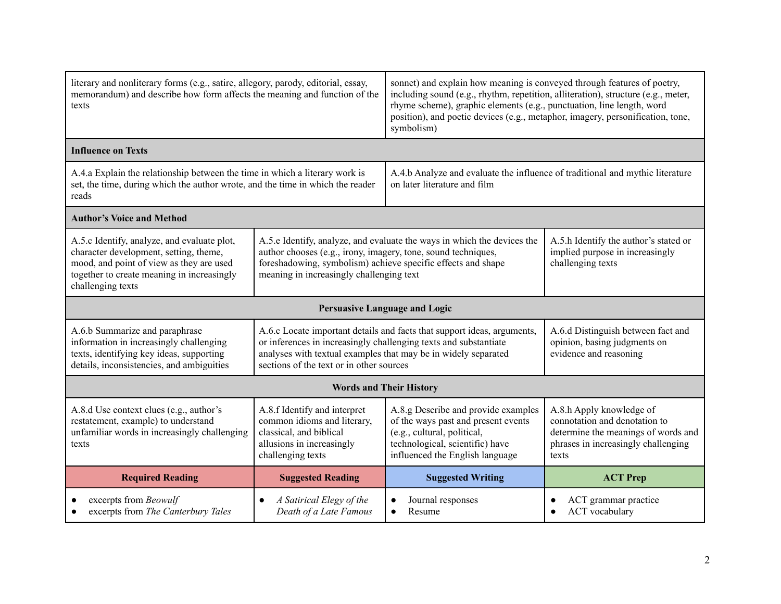| literary and nonliterary forms (e.g., satire, allegory, parody, editorial, essay,<br>memorandum) and describe how form affects the meaning and function of the<br>texts                              |                                                                                                                                                                                                                                                      | sonnet) and explain how meaning is conveyed through features of poetry,<br>including sound (e.g., rhythm, repetition, alliteration), structure (e.g., meter,<br>rhyme scheme), graphic elements (e.g., punctuation, line length, word<br>position), and poetic devices (e.g., metaphor, imagery, personification, tone,<br>symbolism) |                                                                                              |  |  |  |
|------------------------------------------------------------------------------------------------------------------------------------------------------------------------------------------------------|------------------------------------------------------------------------------------------------------------------------------------------------------------------------------------------------------------------------------------------------------|---------------------------------------------------------------------------------------------------------------------------------------------------------------------------------------------------------------------------------------------------------------------------------------------------------------------------------------|----------------------------------------------------------------------------------------------|--|--|--|
| <b>Influence on Texts</b>                                                                                                                                                                            |                                                                                                                                                                                                                                                      |                                                                                                                                                                                                                                                                                                                                       |                                                                                              |  |  |  |
| A.4.a Explain the relationship between the time in which a literary work is<br>set, the time, during which the author wrote, and the time in which the reader<br>reads                               |                                                                                                                                                                                                                                                      | A.4.b Analyze and evaluate the influence of traditional and mythic literature<br>on later literature and film                                                                                                                                                                                                                         |                                                                                              |  |  |  |
| <b>Author's Voice and Method</b>                                                                                                                                                                     |                                                                                                                                                                                                                                                      |                                                                                                                                                                                                                                                                                                                                       |                                                                                              |  |  |  |
| A.5.c Identify, analyze, and evaluate plot,<br>character development, setting, theme,<br>mood, and point of view as they are used<br>together to create meaning in increasingly<br>challenging texts | A.5.e Identify, analyze, and evaluate the ways in which the devices the<br>author chooses (e.g., irony, imagery, tone, sound techniques,<br>foreshadowing, symbolism) achieve specific effects and shape<br>meaning in increasingly challenging text | A.5.h Identify the author's stated or<br>implied purpose in increasingly<br>challenging texts                                                                                                                                                                                                                                         |                                                                                              |  |  |  |
|                                                                                                                                                                                                      |                                                                                                                                                                                                                                                      | <b>Persuasive Language and Logic</b>                                                                                                                                                                                                                                                                                                  |                                                                                              |  |  |  |
| A.6.b Summarize and paraphrase<br>information in increasingly challenging<br>texts, identifying key ideas, supporting<br>details, inconsistencies, and ambiguities                                   | or inferences in increasingly challenging texts and substantiate<br>analyses with textual examples that may be in widely separated<br>sections of the text or in other sources                                                                       | A.6.c Locate important details and facts that support ideas, arguments,                                                                                                                                                                                                                                                               | A.6.d Distinguish between fact and<br>opinion, basing judgments on<br>evidence and reasoning |  |  |  |
|                                                                                                                                                                                                      | <b>Words and Their History</b>                                                                                                                                                                                                                       |                                                                                                                                                                                                                                                                                                                                       |                                                                                              |  |  |  |
| A.8.d Use context clues (e.g., author's<br>restatement, example) to understand<br>unfamiliar words in increasingly challenging<br>texts                                                              | A.8.f Identify and interpret<br>common idioms and literary,<br>classical, and biblical<br>allusions in increasingly<br>challenging texts                                                                                                             | A.8.h Apply knowledge of<br>connotation and denotation to<br>determine the meanings of words and<br>phrases in increasingly challenging<br>texts                                                                                                                                                                                      |                                                                                              |  |  |  |
| <b>Required Reading</b>                                                                                                                                                                              | <b>Suggested Reading</b>                                                                                                                                                                                                                             | <b>Suggested Writing</b>                                                                                                                                                                                                                                                                                                              | <b>ACT Prep</b>                                                                              |  |  |  |
| excerpts from Beowulf<br>excerpts from The Canterbury Tales                                                                                                                                          | A Satirical Elegy of the<br>Death of a Late Famous                                                                                                                                                                                                   | Journal responses<br>Resume<br>$\bullet$                                                                                                                                                                                                                                                                                              | ACT grammar practice<br>ACT vocabulary                                                       |  |  |  |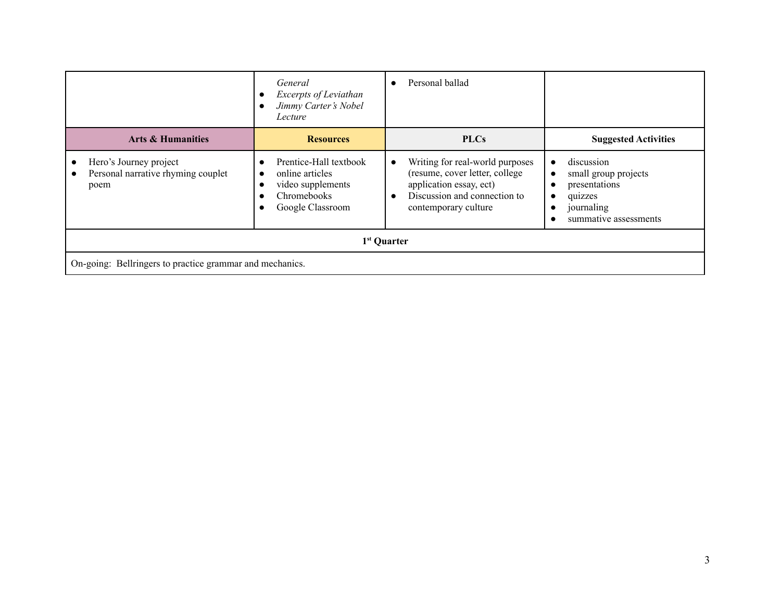|                                                                                                | General<br>Excerpts of Leviathan<br>Jimmy Carter's Nobel<br>Lecture                                            | Personal ballad                                                                                                                                                   |                                                                                                       |  |  |  |
|------------------------------------------------------------------------------------------------|----------------------------------------------------------------------------------------------------------------|-------------------------------------------------------------------------------------------------------------------------------------------------------------------|-------------------------------------------------------------------------------------------------------|--|--|--|
| <b>Arts &amp; Humanities</b>                                                                   | <b>Resources</b>                                                                                               | <b>PLCs</b>                                                                                                                                                       | <b>Suggested Activities</b>                                                                           |  |  |  |
| Hero's Journey project<br>$\bullet$<br>Personal narrative rhyming couplet<br>$\bullet$<br>poem | Prentice-Hall textbook<br>online articles<br>$\bullet$<br>video supplements<br>Chromebooks<br>Google Classroom | Writing for real-world purposes<br>(resume, cover letter, college<br>application essay, ect)<br>Discussion and connection to<br>$\bullet$<br>contemporary culture | discussion<br>small group projects<br>presentations<br>quizzes<br>journaling<br>summative assessments |  |  |  |
| 1 <sup>st</sup> Quarter                                                                        |                                                                                                                |                                                                                                                                                                   |                                                                                                       |  |  |  |
| On-going: Bellringers to practice grammar and mechanics.                                       |                                                                                                                |                                                                                                                                                                   |                                                                                                       |  |  |  |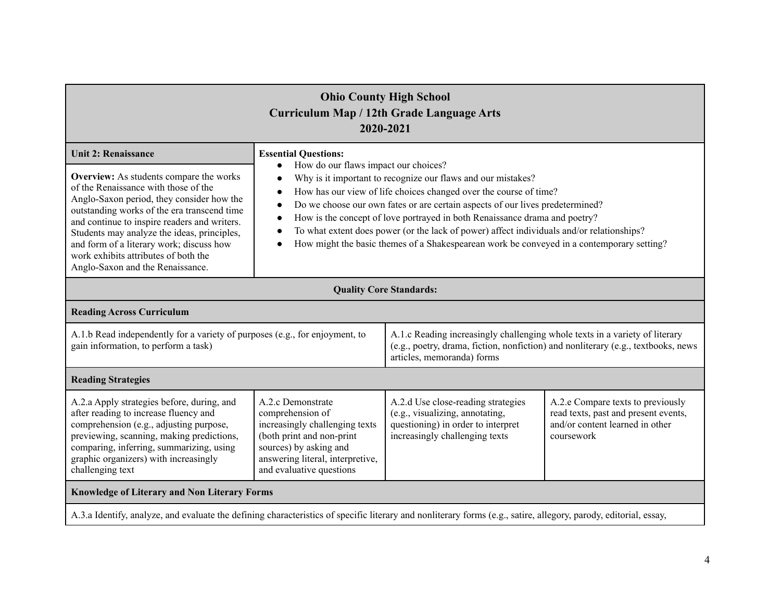| <b>Ohio County High School</b><br>Curriculum Map / 12th Grade Language Arts<br>2020-2021                                                                                                                                                                                                                                                                                                                                         |                                                                                                                                                                                                                                                                                                                                                                                                                                                                                                                                                                                                                       |                                                                                                                                                                                                |                                                                                                                            |  |  |  |
|----------------------------------------------------------------------------------------------------------------------------------------------------------------------------------------------------------------------------------------------------------------------------------------------------------------------------------------------------------------------------------------------------------------------------------|-----------------------------------------------------------------------------------------------------------------------------------------------------------------------------------------------------------------------------------------------------------------------------------------------------------------------------------------------------------------------------------------------------------------------------------------------------------------------------------------------------------------------------------------------------------------------------------------------------------------------|------------------------------------------------------------------------------------------------------------------------------------------------------------------------------------------------|----------------------------------------------------------------------------------------------------------------------------|--|--|--|
| <b>Unit 2: Renaissance</b><br>Overview: As students compare the works<br>of the Renaissance with those of the<br>Anglo-Saxon period, they consider how the<br>outstanding works of the era transcend time<br>and continue to inspire readers and writers.<br>Students may analyze the ideas, principles,<br>and form of a literary work; discuss how<br>work exhibits attributes of both the<br>Anglo-Saxon and the Renaissance. | <b>Essential Questions:</b><br>How do our flaws impact our choices?<br>$\bullet$<br>Why is it important to recognize our flaws and our mistakes?<br>How has our view of life choices changed over the course of time?<br>$\bullet$<br>Do we choose our own fates or are certain aspects of our lives predetermined?<br>$\bullet$<br>How is the concept of love portrayed in both Renaissance drama and poetry?<br>$\bullet$<br>To what extent does power (or the lack of power) affect individuals and/or relationships?<br>How might the basic themes of a Shakespearean work be conveyed in a contemporary setting? |                                                                                                                                                                                                |                                                                                                                            |  |  |  |
| <b>Quality Core Standards:</b>                                                                                                                                                                                                                                                                                                                                                                                                   |                                                                                                                                                                                                                                                                                                                                                                                                                                                                                                                                                                                                                       |                                                                                                                                                                                                |                                                                                                                            |  |  |  |
| <b>Reading Across Curriculum</b>                                                                                                                                                                                                                                                                                                                                                                                                 |                                                                                                                                                                                                                                                                                                                                                                                                                                                                                                                                                                                                                       |                                                                                                                                                                                                |                                                                                                                            |  |  |  |
| A.1.b Read independently for a variety of purposes (e.g., for enjoyment, to<br>gain information, to perform a task)                                                                                                                                                                                                                                                                                                              |                                                                                                                                                                                                                                                                                                                                                                                                                                                                                                                                                                                                                       | A.1.c Reading increasingly challenging whole texts in a variety of literary<br>(e.g., poetry, drama, fiction, nonfiction) and nonliterary (e.g., textbooks, news<br>articles, memoranda) forms |                                                                                                                            |  |  |  |
| <b>Reading Strategies</b>                                                                                                                                                                                                                                                                                                                                                                                                        |                                                                                                                                                                                                                                                                                                                                                                                                                                                                                                                                                                                                                       |                                                                                                                                                                                                |                                                                                                                            |  |  |  |
| A.2.a Apply strategies before, during, and<br>after reading to increase fluency and<br>comprehension (e.g., adjusting purpose,<br>previewing, scanning, making predictions,<br>comparing, inferring, summarizing, using<br>graphic organizers) with increasingly<br>challenging text                                                                                                                                             | A.2.c Demonstrate<br>comprehension of<br>increasingly challenging texts<br>(both print and non-print<br>sources) by asking and<br>answering literal, interpretive,<br>and evaluative questions                                                                                                                                                                                                                                                                                                                                                                                                                        | A.2.d Use close-reading strategies<br>(e.g., visualizing, annotating,<br>questioning) in order to interpret<br>increasingly challenging texts                                                  | A.2.e Compare texts to previously<br>read texts, past and present events,<br>and/or content learned in other<br>coursework |  |  |  |
| Knowledge of Literary and Non Literary Forms                                                                                                                                                                                                                                                                                                                                                                                     |                                                                                                                                                                                                                                                                                                                                                                                                                                                                                                                                                                                                                       |                                                                                                                                                                                                |                                                                                                                            |  |  |  |
| A.3.a Identify, analyze, and evaluate the defining characteristics of specific literary and nonliterary forms (e.g., satire, allegory, parody, editorial, essay,                                                                                                                                                                                                                                                                 |                                                                                                                                                                                                                                                                                                                                                                                                                                                                                                                                                                                                                       |                                                                                                                                                                                                |                                                                                                                            |  |  |  |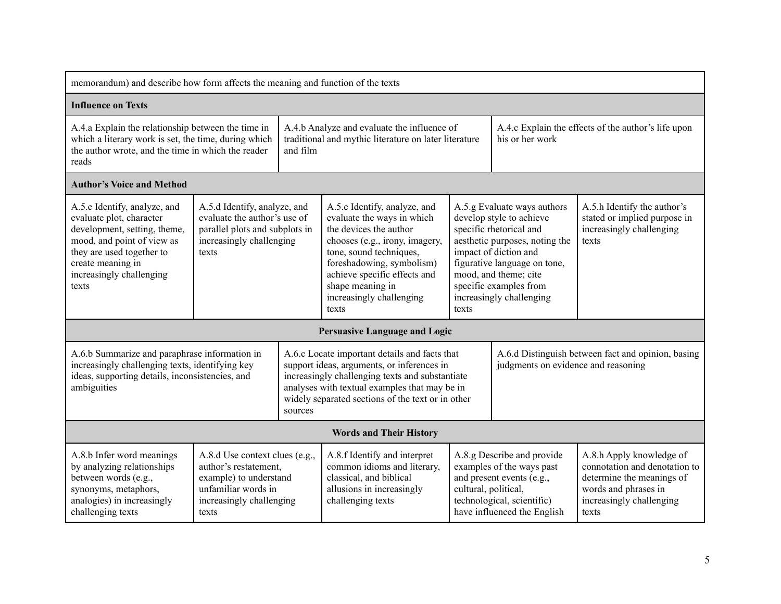| memorandum) and describe how form affects the meaning and function of the texts                                                                                                                               |                                                                                                                                                                                                                                                                                                                                                                                                                         |                                                                                                                                                                                                                                                      |                                                                                                                                                                                                                                                              |                                                                                           |                                                                                                                                                   |                                                                                                                                                     |
|---------------------------------------------------------------------------------------------------------------------------------------------------------------------------------------------------------------|-------------------------------------------------------------------------------------------------------------------------------------------------------------------------------------------------------------------------------------------------------------------------------------------------------------------------------------------------------------------------------------------------------------------------|------------------------------------------------------------------------------------------------------------------------------------------------------------------------------------------------------------------------------------------------------|--------------------------------------------------------------------------------------------------------------------------------------------------------------------------------------------------------------------------------------------------------------|-------------------------------------------------------------------------------------------|---------------------------------------------------------------------------------------------------------------------------------------------------|-----------------------------------------------------------------------------------------------------------------------------------------------------|
| <b>Influence on Texts</b>                                                                                                                                                                                     |                                                                                                                                                                                                                                                                                                                                                                                                                         |                                                                                                                                                                                                                                                      |                                                                                                                                                                                                                                                              |                                                                                           |                                                                                                                                                   |                                                                                                                                                     |
| A.4.a Explain the relationship between the time in<br>which a literary work is set, the time, during which<br>the author wrote, and the time in which the reader<br>and film<br>reads                         |                                                                                                                                                                                                                                                                                                                                                                                                                         | A.4.b Analyze and evaluate the influence of<br>traditional and mythic literature on later literature                                                                                                                                                 |                                                                                                                                                                                                                                                              | A.4.c Explain the effects of the author's life upon<br>his or her work                    |                                                                                                                                                   |                                                                                                                                                     |
| <b>Author's Voice and Method</b>                                                                                                                                                                              |                                                                                                                                                                                                                                                                                                                                                                                                                         |                                                                                                                                                                                                                                                      |                                                                                                                                                                                                                                                              |                                                                                           |                                                                                                                                                   |                                                                                                                                                     |
| A.5.c Identify, analyze, and<br>evaluate plot, character<br>development, setting, theme,<br>mood, and point of view as<br>they are used together to<br>create meaning in<br>increasingly challenging<br>texts | A.5.d Identify, analyze, and<br>A.5.e Identify, analyze, and<br>evaluate the author's use of<br>evaluate the ways in which<br>parallel plots and subplots in<br>the devices the author<br>increasingly challenging<br>chooses (e.g., irony, imagery,<br>tone, sound techniques,<br>texts<br>foreshadowing, symbolism)<br>achieve specific effects and<br>shape meaning in<br>increasingly challenging<br>texts<br>texts |                                                                                                                                                                                                                                                      | A.5.g Evaluate ways authors<br>develop style to achieve<br>specific rhetorical and<br>aesthetic purposes, noting the<br>impact of diction and<br>figurative language on tone,<br>mood, and theme; cite<br>specific examples from<br>increasingly challenging |                                                                                           | A.5.h Identify the author's<br>stated or implied purpose in<br>increasingly challenging<br>texts                                                  |                                                                                                                                                     |
|                                                                                                                                                                                                               |                                                                                                                                                                                                                                                                                                                                                                                                                         |                                                                                                                                                                                                                                                      | <b>Persuasive Language and Logic</b>                                                                                                                                                                                                                         |                                                                                           |                                                                                                                                                   |                                                                                                                                                     |
| A.6.b Summarize and paraphrase information in<br>increasingly challenging texts, identifying key<br>ideas, supporting details, inconsistencies, and<br>ambiguities<br>sources                                 |                                                                                                                                                                                                                                                                                                                                                                                                                         | A.6.c Locate important details and facts that<br>support ideas, arguments, or inferences in<br>increasingly challenging texts and substantiate<br>analyses with textual examples that may be in<br>widely separated sections of the text or in other |                                                                                                                                                                                                                                                              | A.6.d Distinguish between fact and opinion, basing<br>judgments on evidence and reasoning |                                                                                                                                                   |                                                                                                                                                     |
|                                                                                                                                                                                                               |                                                                                                                                                                                                                                                                                                                                                                                                                         |                                                                                                                                                                                                                                                      | <b>Words and Their History</b>                                                                                                                                                                                                                               |                                                                                           |                                                                                                                                                   |                                                                                                                                                     |
| A.8.b Infer word meanings<br>by analyzing relationships<br>between words (e.g.,<br>synonyms, metaphors,<br>analogies) in increasingly<br>challenging texts                                                    | A.8.d Use context clues (e.g.,<br>author's restatement.<br>example) to understand<br>unfamiliar words in<br>increasingly challenging<br>texts                                                                                                                                                                                                                                                                           |                                                                                                                                                                                                                                                      | A.8.f Identify and interpret<br>common idioms and literary,<br>classical, and biblical<br>allusions in increasingly<br>challenging texts                                                                                                                     | cultural, political,                                                                      | A.8.g Describe and provide<br>examples of the ways past<br>and present events (e.g.,<br>technological, scientific)<br>have influenced the English | A.8.h Apply knowledge of<br>connotation and denotation to<br>determine the meanings of<br>words and phrases in<br>increasingly challenging<br>texts |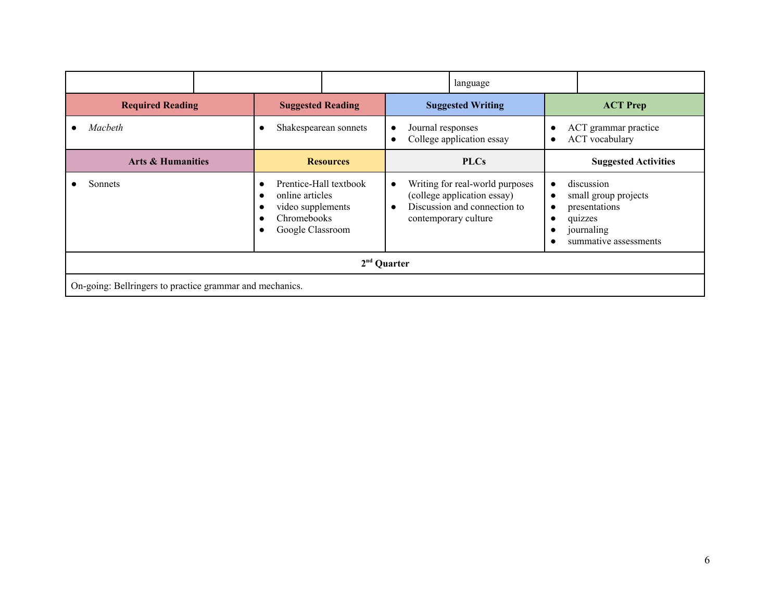|                                                          |  |                                                                                                   |                       | language                                                                 |                                                                                                                        |                                     |                                                                                                       |
|----------------------------------------------------------|--|---------------------------------------------------------------------------------------------------|-----------------------|--------------------------------------------------------------------------|------------------------------------------------------------------------------------------------------------------------|-------------------------------------|-------------------------------------------------------------------------------------------------------|
| <b>Required Reading</b>                                  |  | <b>Suggested Reading</b>                                                                          |                       |                                                                          | <b>Suggested Writing</b>                                                                                               |                                     | <b>ACT Prep</b>                                                                                       |
| Macbeth                                                  |  |                                                                                                   | Shakespearean sonnets | Journal responses<br>$\bullet$<br>College application essay<br>$\bullet$ |                                                                                                                        | $\bullet$                           | ACT grammar practice<br><b>ACT</b> vocabulary                                                         |
| <b>Arts &amp; Humanities</b>                             |  |                                                                                                   | <b>Resources</b>      | <b>PLCs</b>                                                              |                                                                                                                        |                                     | <b>Suggested Activities</b>                                                                           |
| Sonnets                                                  |  | Prentice-Hall textbook<br>online articles<br>video supplements<br>Chromebooks<br>Google Classroom |                       | $\bullet$<br>$\bullet$                                                   | Writing for real-world purposes<br>(college application essay)<br>Discussion and connection to<br>contemporary culture | $\bullet$<br>$\bullet$<br>$\bullet$ | discussion<br>small group projects<br>presentations<br>quizzes<br>journaling<br>summative assessments |
| $2nd$ Quarter                                            |  |                                                                                                   |                       |                                                                          |                                                                                                                        |                                     |                                                                                                       |
| On-going: Bellringers to practice grammar and mechanics. |  |                                                                                                   |                       |                                                                          |                                                                                                                        |                                     |                                                                                                       |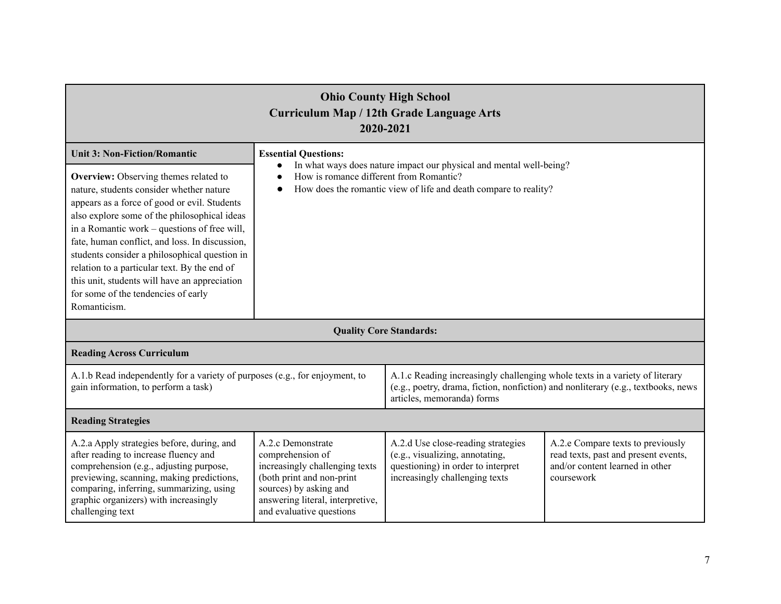| <b>Ohio County High School</b><br><b>Curriculum Map / 12th Grade Language Arts</b><br>2020-2021                                                                                                                                                                                                                                                                                                                                                                                                                                     |                                                                                                                                                                                                                   |                                                                                                                                                                                                |                                                                                                                            |  |  |
|-------------------------------------------------------------------------------------------------------------------------------------------------------------------------------------------------------------------------------------------------------------------------------------------------------------------------------------------------------------------------------------------------------------------------------------------------------------------------------------------------------------------------------------|-------------------------------------------------------------------------------------------------------------------------------------------------------------------------------------------------------------------|------------------------------------------------------------------------------------------------------------------------------------------------------------------------------------------------|----------------------------------------------------------------------------------------------------------------------------|--|--|
| <b>Unit 3: Non-Fiction/Romantic</b><br>Overview: Observing themes related to<br>nature, students consider whether nature<br>appears as a force of good or evil. Students<br>also explore some of the philosophical ideas<br>in a Romantic work – questions of free will,<br>fate, human conflict, and loss. In discussion,<br>students consider a philosophical question in<br>relation to a particular text. By the end of<br>this unit, students will have an appreciation<br>for some of the tendencies of early<br>Romanticism. | <b>Essential Questions:</b><br>In what ways does nature impact our physical and mental well-being?<br>How is romance different from Romantic?<br>How does the romantic view of life and death compare to reality? |                                                                                                                                                                                                |                                                                                                                            |  |  |
|                                                                                                                                                                                                                                                                                                                                                                                                                                                                                                                                     |                                                                                                                                                                                                                   | <b>Quality Core Standards:</b>                                                                                                                                                                 |                                                                                                                            |  |  |
| <b>Reading Across Curriculum</b>                                                                                                                                                                                                                                                                                                                                                                                                                                                                                                    |                                                                                                                                                                                                                   |                                                                                                                                                                                                |                                                                                                                            |  |  |
| A.1.b Read independently for a variety of purposes (e.g., for enjoyment, to<br>gain information, to perform a task)                                                                                                                                                                                                                                                                                                                                                                                                                 |                                                                                                                                                                                                                   | A.1.c Reading increasingly challenging whole texts in a variety of literary<br>(e.g., poetry, drama, fiction, nonfiction) and nonliterary (e.g., textbooks, news<br>articles, memoranda) forms |                                                                                                                            |  |  |
| <b>Reading Strategies</b>                                                                                                                                                                                                                                                                                                                                                                                                                                                                                                           |                                                                                                                                                                                                                   |                                                                                                                                                                                                |                                                                                                                            |  |  |
| A.2.a Apply strategies before, during, and<br>after reading to increase fluency and<br>comprehension (e.g., adjusting purpose,<br>previewing, scanning, making predictions,<br>comparing, inferring, summarizing, using<br>graphic organizers) with increasingly<br>challenging text                                                                                                                                                                                                                                                | A.2.c Demonstrate<br>comprehension of<br>increasingly challenging texts<br>(both print and non-print<br>sources) by asking and<br>answering literal, interpretive,<br>and evaluative questions                    | A.2.d Use close-reading strategies<br>(e.g., visualizing, annotating,<br>questioning) in order to interpret<br>increasingly challenging texts                                                  | A.2.e Compare texts to previously<br>read texts, past and present events,<br>and/or content learned in other<br>coursework |  |  |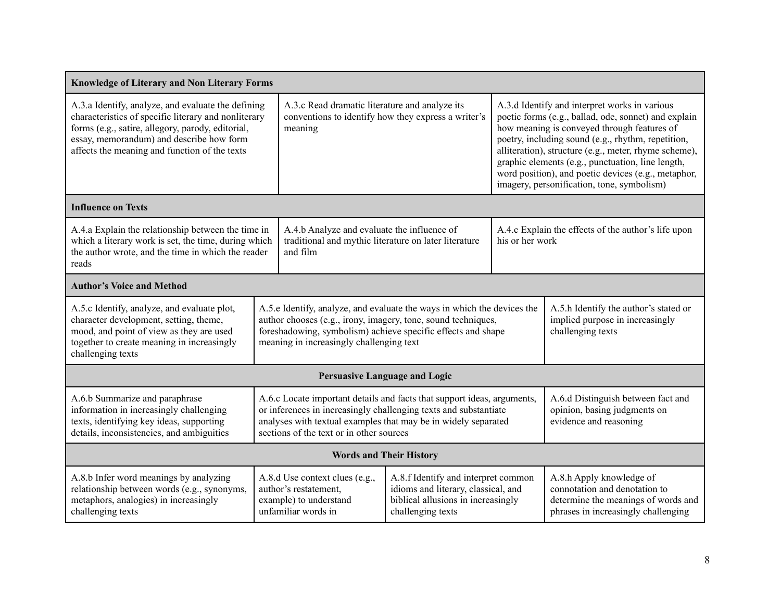| <b>Knowledge of Literary and Non Literary Forms</b>                                                                                                                                                                                                          |                                                                                                                                                                                                                                                      |                                                                                                                                                                                                                                                                                                                                                           |  |                                                                                                                                                                                                                                                                                                                                                                                                                               |  |
|--------------------------------------------------------------------------------------------------------------------------------------------------------------------------------------------------------------------------------------------------------------|------------------------------------------------------------------------------------------------------------------------------------------------------------------------------------------------------------------------------------------------------|-----------------------------------------------------------------------------------------------------------------------------------------------------------------------------------------------------------------------------------------------------------------------------------------------------------------------------------------------------------|--|-------------------------------------------------------------------------------------------------------------------------------------------------------------------------------------------------------------------------------------------------------------------------------------------------------------------------------------------------------------------------------------------------------------------------------|--|
| A.3.a Identify, analyze, and evaluate the defining<br>characteristics of specific literary and nonliterary<br>forms (e.g., satire, allegory, parody, editorial,<br>essay, memorandum) and describe how form<br>affects the meaning and function of the texts | meaning                                                                                                                                                                                                                                              | A.3.c Read dramatic literature and analyze its<br>conventions to identify how they express a writer's                                                                                                                                                                                                                                                     |  | A.3.d Identify and interpret works in various<br>poetic forms (e.g., ballad, ode, sonnet) and explain<br>how meaning is conveyed through features of<br>poetry, including sound (e.g., rhythm, repetition,<br>alliteration), structure (e.g., meter, rhyme scheme),<br>graphic elements (e.g., punctuation, line length,<br>word position), and poetic devices (e.g., metaphor,<br>imagery, personification, tone, symbolism) |  |
| <b>Influence on Texts</b>                                                                                                                                                                                                                                    |                                                                                                                                                                                                                                                      |                                                                                                                                                                                                                                                                                                                                                           |  |                                                                                                                                                                                                                                                                                                                                                                                                                               |  |
| A.4.a Explain the relationship between the time in<br>which a literary work is set, the time, during which<br>the author wrote, and the time in which the reader<br>reads                                                                                    | and film                                                                                                                                                                                                                                             | A.4.b Analyze and evaluate the influence of<br>traditional and mythic literature on later literature                                                                                                                                                                                                                                                      |  | A.4.c Explain the effects of the author's life upon<br>his or her work                                                                                                                                                                                                                                                                                                                                                        |  |
| <b>Author's Voice and Method</b>                                                                                                                                                                                                                             |                                                                                                                                                                                                                                                      |                                                                                                                                                                                                                                                                                                                                                           |  |                                                                                                                                                                                                                                                                                                                                                                                                                               |  |
| A.5.c Identify, analyze, and evaluate plot,<br>character development, setting, theme,<br>mood, and point of view as they are used<br>together to create meaning in increasingly<br>challenging texts                                                         | A.5.e Identify, analyze, and evaluate the ways in which the devices the<br>author chooses (e.g., irony, imagery, tone, sound techniques,<br>foreshadowing, symbolism) achieve specific effects and shape<br>meaning in increasingly challenging text |                                                                                                                                                                                                                                                                                                                                                           |  | A.5.h Identify the author's stated or<br>implied purpose in increasingly<br>challenging texts                                                                                                                                                                                                                                                                                                                                 |  |
|                                                                                                                                                                                                                                                              |                                                                                                                                                                                                                                                      | <b>Persuasive Language and Logic</b>                                                                                                                                                                                                                                                                                                                      |  |                                                                                                                                                                                                                                                                                                                                                                                                                               |  |
| A.6.b Summarize and paraphrase<br>information in increasingly challenging<br>texts, identifying key ideas, supporting<br>details, inconsistencies, and ambiguities                                                                                           |                                                                                                                                                                                                                                                      | A.6.c Locate important details and facts that support ideas, arguments,<br>A.6.d Distinguish between fact and<br>or inferences in increasingly challenging texts and substantiate<br>opinion, basing judgments on<br>analyses with textual examples that may be in widely separated<br>evidence and reasoning<br>sections of the text or in other sources |  |                                                                                                                                                                                                                                                                                                                                                                                                                               |  |
|                                                                                                                                                                                                                                                              |                                                                                                                                                                                                                                                      | <b>Words and Their History</b>                                                                                                                                                                                                                                                                                                                            |  |                                                                                                                                                                                                                                                                                                                                                                                                                               |  |
| A.8.b Infer word meanings by analyzing<br>relationship between words (e.g., synonyms,<br>metaphors, analogies) in increasingly<br>challenging texts                                                                                                          | A.8.d Use context clues (e.g.,<br>author's restatement,<br>example) to understand<br>unfamiliar words in                                                                                                                                             | A.8.f Identify and interpret common<br>idioms and literary, classical, and<br>biblical allusions in increasingly<br>challenging texts                                                                                                                                                                                                                     |  | A.8.h Apply knowledge of<br>connotation and denotation to<br>determine the meanings of words and<br>phrases in increasingly challenging                                                                                                                                                                                                                                                                                       |  |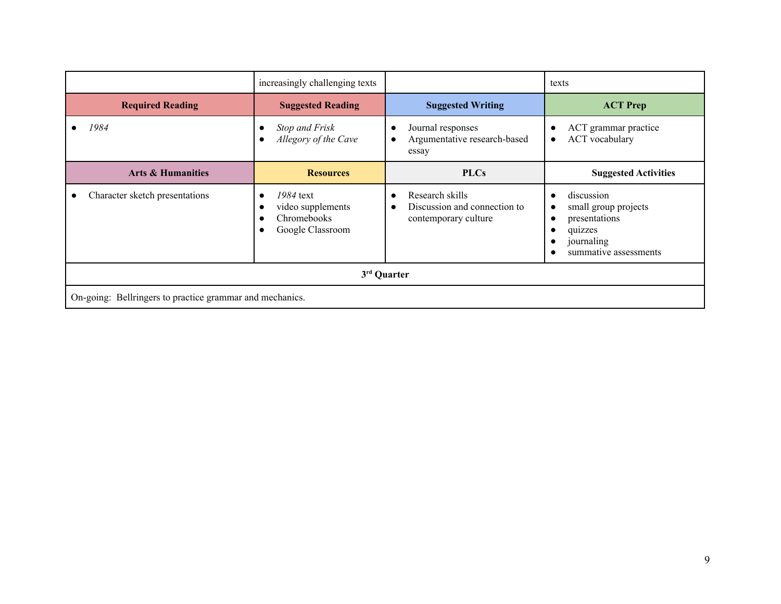|                                                          | increasingly challenging texts                                                 |                                                                                      | texts                                                                                                 |  |  |  |  |
|----------------------------------------------------------|--------------------------------------------------------------------------------|--------------------------------------------------------------------------------------|-------------------------------------------------------------------------------------------------------|--|--|--|--|
| <b>Required Reading</b>                                  | <b>Suggested Reading</b>                                                       | <b>Suggested Writing</b>                                                             | <b>ACT Prep</b>                                                                                       |  |  |  |  |
| 1984                                                     | <b>Stop and Frisk</b><br>Allegory of the Cave                                  | Journal responses<br>$\bullet$<br>Argumentative research-based<br>$\bullet$<br>essay | ACT grammar practice<br><b>ACT</b> vocabulary<br>$\bullet$                                            |  |  |  |  |
| <b>Arts &amp; Humanities</b>                             | <b>Resources</b>                                                               | <b>PLCs</b>                                                                          | <b>Suggested Activities</b>                                                                           |  |  |  |  |
| Character sketch presentations                           | 1984 text<br>$\bullet$<br>video supplements<br>Chromebooks<br>Google Classroom | Research skills<br>Discussion and connection to<br>$\bullet$<br>contemporary culture | discussion<br>small group projects<br>presentations<br>quizzes<br>journaling<br>summative assessments |  |  |  |  |
| 3 <sup>rd</sup> Quarter                                  |                                                                                |                                                                                      |                                                                                                       |  |  |  |  |
| On-going: Bellringers to practice grammar and mechanics. |                                                                                |                                                                                      |                                                                                                       |  |  |  |  |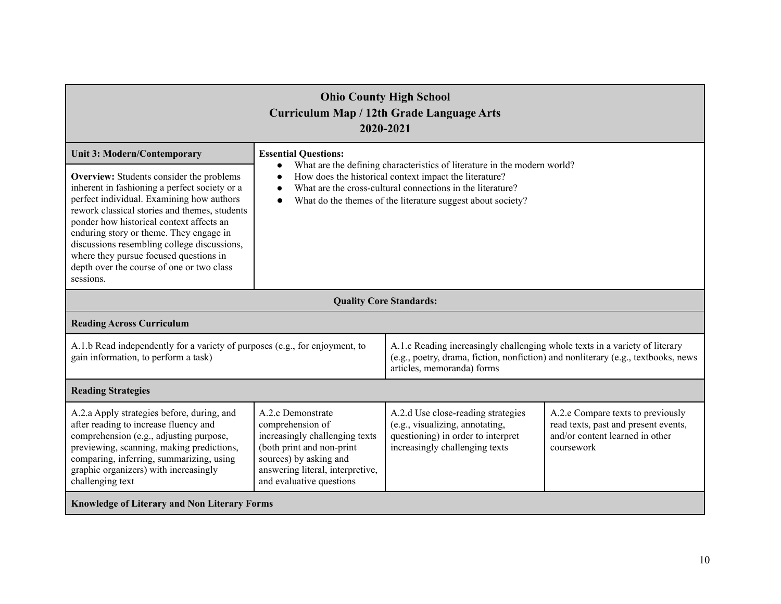| <b>Ohio County High School</b><br>Curriculum Map / 12th Grade Language Arts<br>2020-2021                                                                                                                                                                                                                                                                                                                                                 |                                                                                                                                                                                                                                                                              |                                                                                                                                                                                                |                                                                                                                            |  |  |
|------------------------------------------------------------------------------------------------------------------------------------------------------------------------------------------------------------------------------------------------------------------------------------------------------------------------------------------------------------------------------------------------------------------------------------------|------------------------------------------------------------------------------------------------------------------------------------------------------------------------------------------------------------------------------------------------------------------------------|------------------------------------------------------------------------------------------------------------------------------------------------------------------------------------------------|----------------------------------------------------------------------------------------------------------------------------|--|--|
| <b>Unit 3: Modern/Contemporary</b>                                                                                                                                                                                                                                                                                                                                                                                                       | <b>Essential Questions:</b>                                                                                                                                                                                                                                                  |                                                                                                                                                                                                |                                                                                                                            |  |  |
| <b>Overview:</b> Students consider the problems<br>inherent in fashioning a perfect society or a<br>perfect individual. Examining how authors<br>rework classical stories and themes, students<br>ponder how historical context affects an<br>enduring story or theme. They engage in<br>discussions resembling college discussions,<br>where they pursue focused questions in<br>depth over the course of one or two class<br>sessions. | What are the defining characteristics of literature in the modern world?<br>How does the historical context impact the literature?<br>What are the cross-cultural connections in the literature?<br>What do the themes of the literature suggest about society?<br>$\bullet$ |                                                                                                                                                                                                |                                                                                                                            |  |  |
|                                                                                                                                                                                                                                                                                                                                                                                                                                          |                                                                                                                                                                                                                                                                              | <b>Quality Core Standards:</b>                                                                                                                                                                 |                                                                                                                            |  |  |
| <b>Reading Across Curriculum</b>                                                                                                                                                                                                                                                                                                                                                                                                         |                                                                                                                                                                                                                                                                              |                                                                                                                                                                                                |                                                                                                                            |  |  |
| A.1.b Read independently for a variety of purposes (e.g., for enjoyment, to<br>gain information, to perform a task)                                                                                                                                                                                                                                                                                                                      |                                                                                                                                                                                                                                                                              | A.1.c Reading increasingly challenging whole texts in a variety of literary<br>(e.g., poetry, drama, fiction, nonfiction) and nonliterary (e.g., textbooks, news<br>articles, memoranda) forms |                                                                                                                            |  |  |
| <b>Reading Strategies</b>                                                                                                                                                                                                                                                                                                                                                                                                                |                                                                                                                                                                                                                                                                              |                                                                                                                                                                                                |                                                                                                                            |  |  |
| A.2.a Apply strategies before, during, and<br>after reading to increase fluency and<br>comprehension (e.g., adjusting purpose,<br>previewing, scanning, making predictions,<br>comparing, inferring, summarizing, using<br>graphic organizers) with increasingly<br>challenging text                                                                                                                                                     | A.2.c Demonstrate<br>comprehension of<br>increasingly challenging texts<br>(both print and non-print<br>sources) by asking and<br>answering literal, interpretive,<br>and evaluative questions                                                                               | A.2.d Use close-reading strategies<br>(e.g., visualizing, annotating,<br>questioning) in order to interpret<br>increasingly challenging texts                                                  | A.2.e Compare texts to previously<br>read texts, past and present events,<br>and/or content learned in other<br>coursework |  |  |
| <b>Knowledge of Literary and Non Literary Forms</b>                                                                                                                                                                                                                                                                                                                                                                                      |                                                                                                                                                                                                                                                                              |                                                                                                                                                                                                |                                                                                                                            |  |  |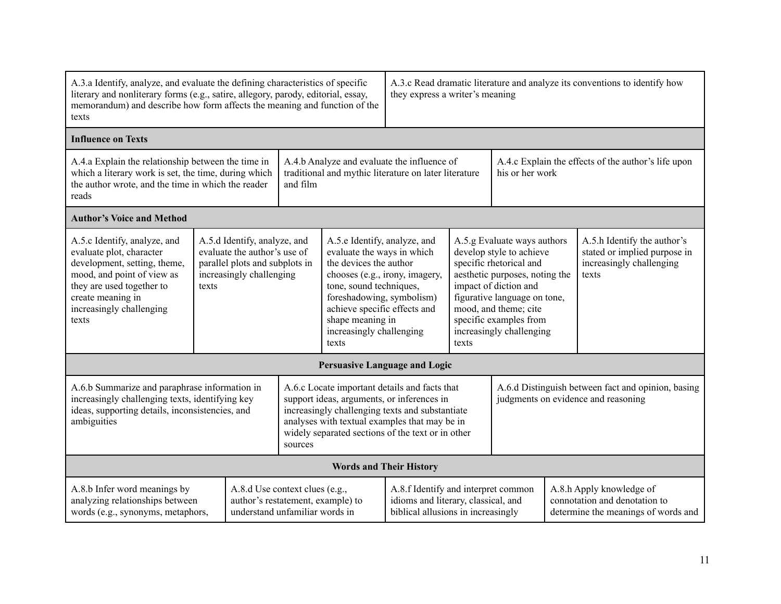| A.3.a Identify, analyze, and evaluate the defining characteristics of specific<br>literary and nonliterary forms (e.g., satire, allegory, parody, editorial, essay,<br>memorandum) and describe how form affects the meaning and function of the<br>texts                                                                                                                                                                             |       |                                                                                                                         |                                                                                                                                                                                                                                                                                                                                                                                                       | A.3.c Read dramatic literature and analyze its conventions to identify how<br>they express a writer's meaning |                                                                                                                  |                                                                                                                                                                                                                                                                       |  |                                                                                                  |                                                                                                  |
|---------------------------------------------------------------------------------------------------------------------------------------------------------------------------------------------------------------------------------------------------------------------------------------------------------------------------------------------------------------------------------------------------------------------------------------|-------|-------------------------------------------------------------------------------------------------------------------------|-------------------------------------------------------------------------------------------------------------------------------------------------------------------------------------------------------------------------------------------------------------------------------------------------------------------------------------------------------------------------------------------------------|---------------------------------------------------------------------------------------------------------------|------------------------------------------------------------------------------------------------------------------|-----------------------------------------------------------------------------------------------------------------------------------------------------------------------------------------------------------------------------------------------------------------------|--|--------------------------------------------------------------------------------------------------|--------------------------------------------------------------------------------------------------|
| <b>Influence on Texts</b>                                                                                                                                                                                                                                                                                                                                                                                                             |       |                                                                                                                         |                                                                                                                                                                                                                                                                                                                                                                                                       |                                                                                                               |                                                                                                                  |                                                                                                                                                                                                                                                                       |  |                                                                                                  |                                                                                                  |
| A.4.a Explain the relationship between the time in<br>which a literary work is set, the time, during which<br>the author wrote, and the time in which the reader<br>and film<br>reads                                                                                                                                                                                                                                                 |       | A.4.b Analyze and evaluate the influence of<br>traditional and mythic literature on later literature<br>his or her work |                                                                                                                                                                                                                                                                                                                                                                                                       |                                                                                                               | A.4.c Explain the effects of the author's life upon                                                              |                                                                                                                                                                                                                                                                       |  |                                                                                                  |                                                                                                  |
| <b>Author's Voice and Method</b>                                                                                                                                                                                                                                                                                                                                                                                                      |       |                                                                                                                         |                                                                                                                                                                                                                                                                                                                                                                                                       |                                                                                                               |                                                                                                                  |                                                                                                                                                                                                                                                                       |  |                                                                                                  |                                                                                                  |
| A.5.c Identify, analyze, and<br>evaluate plot, character<br>development, setting, theme,<br>mood, and point of view as<br>they are used together to<br>create meaning in<br>increasingly challenging<br>texts                                                                                                                                                                                                                         | texts |                                                                                                                         | A.5.e Identify, analyze, and<br>A.5.d Identify, analyze, and<br>evaluate the author's use of<br>evaluate the ways in which<br>parallel plots and subplots in<br>the devices the author<br>chooses (e.g., irony, imagery,<br>increasingly challenging<br>tone, sound techniques,<br>foreshadowing, symbolism)<br>achieve specific effects and<br>shape meaning in<br>increasingly challenging<br>texts |                                                                                                               |                                                                                                                  | A.5.g Evaluate ways authors<br>develop style to achieve<br>specific rhetorical and<br>aesthetic purposes, noting the<br>impact of diction and<br>figurative language on tone,<br>mood, and theme; cite<br>specific examples from<br>increasingly challenging<br>texts |  |                                                                                                  | A.5.h Identify the author's<br>stated or implied purpose in<br>increasingly challenging<br>texts |
|                                                                                                                                                                                                                                                                                                                                                                                                                                       |       |                                                                                                                         |                                                                                                                                                                                                                                                                                                                                                                                                       |                                                                                                               | <b>Persuasive Language and Logic</b>                                                                             |                                                                                                                                                                                                                                                                       |  |                                                                                                  |                                                                                                  |
| A.6.b Summarize and paraphrase information in<br>A.6.c Locate important details and facts that<br>increasingly challenging texts, identifying key<br>support ideas, arguments, or inferences in<br>ideas, supporting details, inconsistencies, and<br>increasingly challenging texts and substantiate<br>analyses with textual examples that may be in<br>ambiguities<br>widely separated sections of the text or in other<br>sources |       |                                                                                                                         | A.6.d Distinguish between fact and opinion, basing<br>judgments on evidence and reasoning                                                                                                                                                                                                                                                                                                             |                                                                                                               |                                                                                                                  |                                                                                                                                                                                                                                                                       |  |                                                                                                  |                                                                                                  |
|                                                                                                                                                                                                                                                                                                                                                                                                                                       |       |                                                                                                                         |                                                                                                                                                                                                                                                                                                                                                                                                       | <b>Words and Their History</b>                                                                                |                                                                                                                  |                                                                                                                                                                                                                                                                       |  |                                                                                                  |                                                                                                  |
| A.8.b Infer word meanings by<br>analyzing relationships between<br>words (e.g., synonyms, metaphors,                                                                                                                                                                                                                                                                                                                                  |       | A.8.d Use context clues (e.g.,<br>author's restatement, example) to<br>understand unfamiliar words in                   |                                                                                                                                                                                                                                                                                                                                                                                                       |                                                                                                               | A.8.f Identify and interpret common<br>idioms and literary, classical, and<br>biblical allusions in increasingly |                                                                                                                                                                                                                                                                       |  | A.8.h Apply knowledge of<br>connotation and denotation to<br>determine the meanings of words and |                                                                                                  |